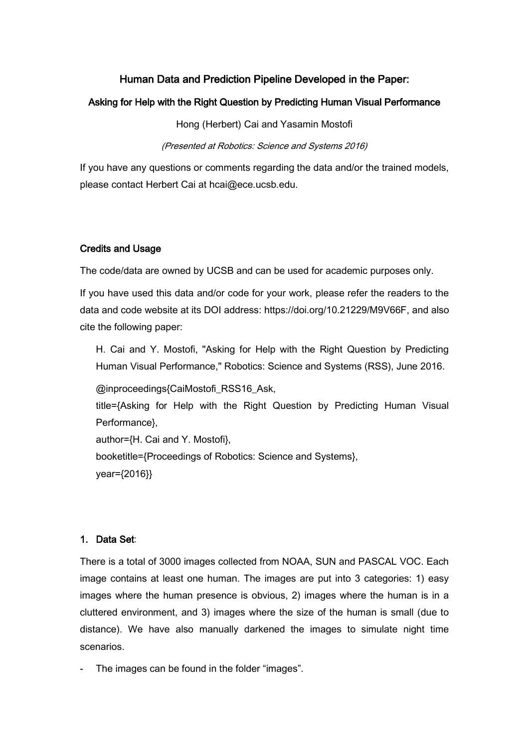## Human Data and Prediction Pipeline Developed in the Paper:

#### Asking for Help with the Right Question by Predicting Human Visual Performance

Hong (Herbert) Cai and Yasamin Mostofi

(Presented at Robotics: Science and Systems 2016)

If you have any questions or comments regarding the data and/or the trained models, please contact [Herbert Cai](mailto:hcai@ece.ucsb.edu) at hcai@ece.ucsb.edu.

#### Credits and Usage

The code/data are owned by UCSB and can be used for academic purposes only.

If you have used this data and/or code for your work, please refer the readers to the data and code website at its DOI address: [https://doi.org/10.21229/M9V66F,](https://doi.org/10.21229/M9V66F) and also cite the following paper:

H. Cai and Y. Mostofi, "Asking for Help with the Right Question by Predicting Human Visual Performance," Robotics: Science and Systems (RSS), June 2016.

@inproceedings{CaiMostofi\_RSS16\_Ask,

title={Asking for Help with the Right Question by Predicting Human Visual Performance},

author={H. Cai and Y. Mostofi}, booketitle={Proceedings of Robotics: Science and Systems}, year={2016}}

### 1. Data Set:

There is a total of 3000 images collected from NOAA, SUN and PASCAL VOC. Each image contains at least one human. The images are put into 3 categories: 1) easy images where the human presence is obvious, 2) images where the human is in a cluttered environment, and 3) images where the size of the human is small (due to distance). We have also manually darkened the images to simulate night time scenarios.

- The images can be found in the folder "images".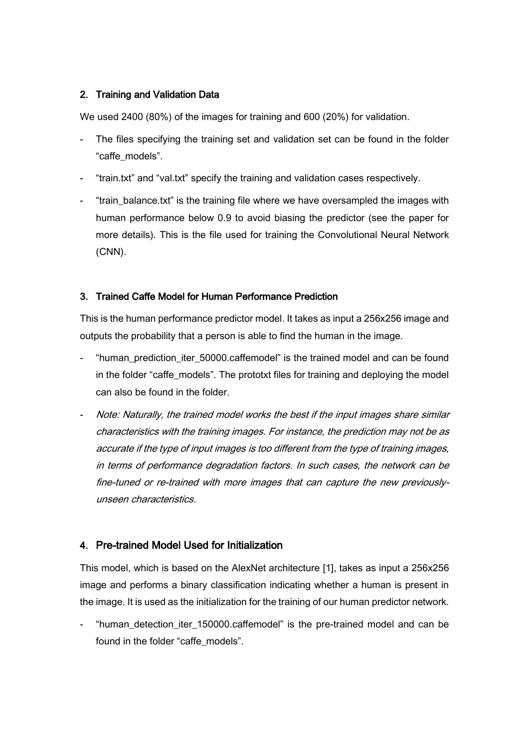### 2. Training and Validation Data

We used 2400 (80%) of the images for training and 600 (20%) for validation.

- The files specifying the training set and validation set can be found in the folder "caffe\_models".
- "train.txt" and "val.txt" specify the training and validation cases respectively.
- "train balance.txt" is the training file where we have oversampled the images with human performance below 0.9 to avoid biasing the predictor (see the paper for more details). This is the file used for training the Convolutional Neural Network (CNN).

### 3. Trained Caffe Model for Human Performance Prediction

This is the human performance predictor model. It takes as input a 256x256 image and outputs the probability that a person is able to find the human in the image.

- "human\_prediction\_iter\_50000.caffemodel" is the trained model and can be found in the folder "caffe\_models". The prototxt files for training and deploying the model can also be found in the folder.
- Note: Naturally, the trained model works the best if the input images share similar characteristics with the training images. For instance, the prediction may not be as accurate if the type of input images is too different from the type of training images, in terms of performance degradation factors. In such cases, the network can be fine-tuned or re-trained with more images that can capture the new previouslyunseen characteristics.

## 4. Pre-trained Model Used for Initialization

This model, which is based on the AlexNet architecture [1], takes as input a 256x256 image and performs a binary classification indicating whether a human is present in the image. It is used as the initialization for the training of our human predictor network.

- "human\_detection\_iter\_150000.caffemodel" is the pre-trained model and can be found in the folder "caffe\_models".